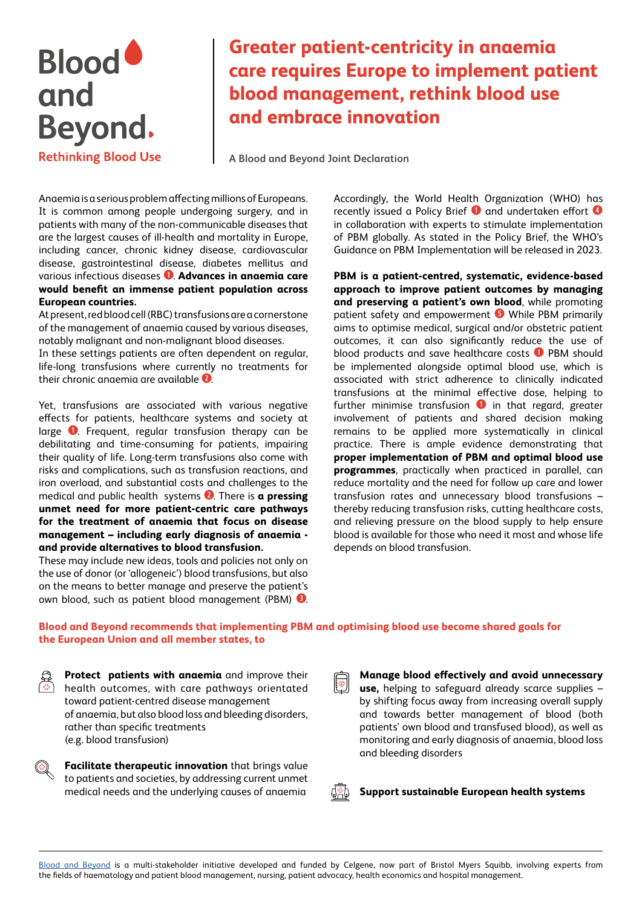# **Blood** and and<br>Beyond. **Rethinking Blood Use**

## **Greater patient-centricity in anaemia care requires Europe to implement patient blood management, rethink blood use and embrace innovation**

**A Blood and Beyond Joint Declaration**

Anaemia is a serious problem affecting millions of Europeans. It is common among people undergoing surgery, and in patients with many of the non-communicable diseases that are the largest causes of ill-health and mortality in Europe, including cancer, chronic kidney disease, cardiovascular disease, gastrointestinal disease, diabetes mellitus and various infectious diseases **q**. **Advances in anaemia care would benefit an immense patient population across European countries.** 

At present, red blood cell (RBC) transfusions are a cornerstone of the management of anaemia caused by various diseases, notably malignant and non-malignant blood diseases.

In these settings patients are often dependent on regular, life-long transfusions where currently no treatments for their chronic anaemia are available **w**.

Yet, transfusions are associated with various negative effects for patients, healthcare systems and society at large **q**. Frequent, regular transfusion therapy can be debilitating and time-consuming for patients, impairing their quality of life. Long-term transfusions also come with risks and complications, such as transfusion reactions, and iron overload, and substantial costs and challenges to the medical and public health systems **w**. There is **a pressing unmet need for more patient-centric care pathways for the treatment of anaemia that focus on disease management – including early diagnosis of anaemia and provide alternatives to blood transfusion.**

These may include new ideas, tools and policies not only on the use of donor (or 'allogeneic') blood transfusions, but also on the means to better manage and preserve the patient's own blood, such as patient blood management (PBM) **e**.

Accordingly, the World Health Organization (WHO) has recently issued a Policy Brief **q** and undertaken effort **r** in collaboration with experts to stimulate implementation of PBM globally. As stated in the Policy Brief, the WHO's Guidance on PBM Implementation will be released in 2023.

**PBM is a patient-centred, systematic, evidence-based approach to improve patient outcomes by managing and preserving a patient's own blood**, while promoting patient safety and empowerment **t** While PBM primarily aims to optimise medical, surgical and/or obstetric patient outcomes, it can also significantly reduce the use of blood products and save healthcare costs **q** PBM should be implemented alongside optimal blood use, which is associated with strict adherence to clinically indicated transfusions at the minimal effective dose, helping to further minimise transfusion **q** in that regard, greater involvement of patients and shared decision making remains to be applied more systematically in clinical practice. There is ample evidence demonstrating that **proper implementation of PBM and optimal blood use programmes**, practically when practiced in parallel, can reduce mortality and the need for follow up care and lower transfusion rates and unnecessary blood transfusions – thereby reducing transfusion risks, cutting healthcare costs, and relieving pressure on the blood supply to help ensure blood is available for those who need it most and whose life depends on blood transfusion.

### **Blood and Beyond recommends that implementing PBM and optimising blood use become shared goals for the European Union and all member states, to**

**Protect patients with anaemia** and improve their health outcomes, with care pathways orientated toward patient-centred disease management of anaemia, but also blood loss and bleeding disorders, rather than specific treatments (e.g. blood transfusion)

**Facilitate therapeutic innovation** that brings value to patients and societies, by addressing current unmet medical needs and the underlying causes of anaemia

**Manage blood effectively and avoid unnecessary use,** helping to safeguard already scarce supplies – by shifting focus away from increasing overall supply and towards better management of blood (both patients' own blood and transfused blood), as well as monitoring and early diagnosis of anaemia, blood loss and bleeding disorders

**Support sustainable European health systems**